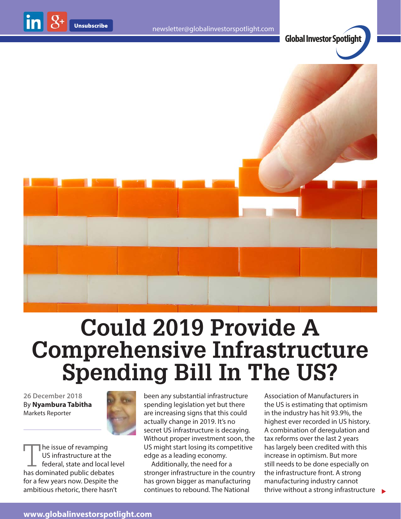

**Global Investor Spotlight**



## **Could 2019 Provide A Comprehensive Infrastructure Spending Bill In The US?**

**26 December 2018** By **Nyambura Tabitha** Markets Reporter



The issue of revamping US infrastructure at the federal, state and local level has dominated public debates for a few years now. Despite the ambitious rhetoric, there hasn't

been any substantial infrastructure spending legislation yet but there are increasing signs that this could actually change in 2019. It's no secret US infrastructure is decaying. Without proper investment soon, the US might start losing its competitive edge as a leading economy.

Additionally, the need for a stronger infrastructure in the country has grown bigger as manufacturing continues to rebound. The National

thrive without a strong infrastructure  $\rightarrow$ Association of Manufacturers in the US is estimating that optimism in the industry has hit 93.9%, the highest ever recorded in US history. A combination of deregulation and tax reforms over the last 2 years has largely been credited with this increase in optimism. But more still needs to be done especially on the infrastructure front. A strong manufacturing industry cannot